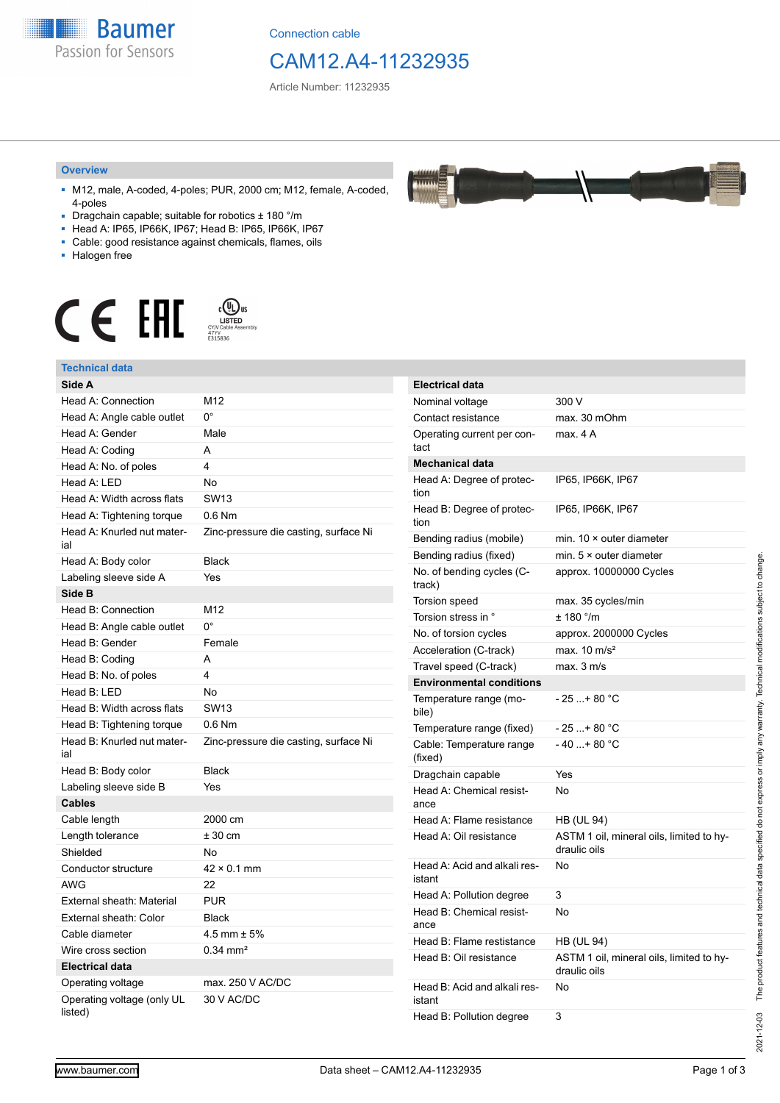

Connection cable

# CAM12.A4-11232935

Article Number: 11232935

#### **Overview**

- M12, male, A-coded, 4-poles; PUR, 2000 cm; M12, female, A-coded, 4-poles
- Dragchain capable; suitable for robotics ± 180 °/m
- Head A: IP65, IP66K, IP67; Head B: IP65, IP66K, IP67
- Cable: good resistance against chemicals, flames, oils
- Halogen free



#### **Technical data**

| Technical data                        |                                       |
|---------------------------------------|---------------------------------------|
| Side A                                |                                       |
| Head A: Connection                    | M12                                   |
| Head A: Angle cable outlet            | 0°                                    |
| Head A: Gender                        | Male                                  |
| Head A: Coding                        | A                                     |
| Head A: No. of poles                  | 4                                     |
| Head A: LED                           | No                                    |
| Head A: Width across flats            | <b>SW13</b>                           |
| Head A: Tightening torque             | 0.6 Nm                                |
| Head A: Knurled nut mater-<br>ial     | Zinc-pressure die casting, surface Ni |
| Head A: Body color                    | <b>Black</b>                          |
| Labeling sleeve side A                | Yes                                   |
| Side B                                |                                       |
| Head B: Connection                    | M12                                   |
| Head B: Angle cable outlet            | $0^{\circ}$                           |
| Head B: Gender                        | Female                                |
| Head B: Coding                        | A                                     |
| Head B: No. of poles                  | 4                                     |
| Head B: LED                           | No                                    |
| Head B: Width across flats            | <b>SW13</b>                           |
| Head B: Tightening torque             | $0.6$ Nm                              |
| Head B: Knurled nut mater-<br>ial     | Zinc-pressure die casting, surface Ni |
| Head B: Body color                    | <b>Black</b>                          |
| Labeling sleeve side B                | Yes                                   |
| <b>Cables</b>                         |                                       |
| Cable length                          | 2000 cm                               |
| Length tolerance                      | $± 30$ cm                             |
| Shielded                              | No                                    |
| Conductor structure                   | $42 \times 0.1$ mm                    |
| <b>AWG</b>                            | 22                                    |
| External sheath: Material             | <b>PUR</b>                            |
| External sheath: Color                | <b>Black</b>                          |
| Cable diameter                        | $4.5$ mm $\pm 5\%$                    |
| Wire cross section                    | $0.34$ mm <sup>2</sup>                |
| <b>Electrical data</b>                |                                       |
| Operating voltage                     | max. 250 V AC/DC                      |
| Operating voltage (only UL<br>listed) | 30 V AC/DC                            |

| <b>Electrical data</b>                 |                                                          |
|----------------------------------------|----------------------------------------------------------|
| Nominal voltage                        | 300 V                                                    |
| Contact resistance                     | max. 30 mOhm                                             |
| Operating current per con-<br>tact     | max. 4 A                                                 |
| <b>Mechanical data</b>                 |                                                          |
| Head A: Degree of protec-<br>tion      | IP65, IP66K, IP67                                        |
| Head B: Degree of protec-<br>tion      | IP65, IP66K, IP67                                        |
| Bending radius (mobile)                | min. $10 \times$ outer diameter                          |
| Bending radius (fixed)                 | min. $5 \times$ outer diameter                           |
| No. of bending cycles (C-<br>track)    | approx. 10000000 Cycles                                  |
| <b>Torsion speed</b>                   | max. 35 cycles/min                                       |
| Torsion stress in °                    | ± 180 °/m                                                |
| No. of torsion cycles                  | approx. 2000000 Cycles                                   |
| Acceleration (C-track)                 | max. $10 \text{ m/s}^2$                                  |
| Travel speed (C-track)                 | max. 3 m/s                                               |
| <b>Environmental conditions</b>        |                                                          |
| Temperature range (mo-<br>bile)        | $-25+80 °C$                                              |
| Temperature range (fixed)              | - 25 + 80 °C                                             |
| Cable: Temperature range<br>(fixed)    | $-40+80 °C$                                              |
| Dragchain capable                      | Yes                                                      |
| Head A: Chemical resist-<br>ance       | No                                                       |
| Head A: Flame resistance               | HB (UL 94)                                               |
| Head A: Oil resistance                 | ASTM 1 oil, mineral oils, limited to hy-<br>draulic oils |
| Head A: Acid and alkali res-<br>istant | No                                                       |
| Head A: Pollution degree               | 3                                                        |
| Head B: Chemical resist-<br>ance       | No                                                       |
| Head B: Flame restistance              | HB (UL 94)                                               |
| Head B: Oil resistance                 | ASTM 1 oil, mineral oils, limited to hy-<br>draulic oils |
| Head B: Acid and alkali res-<br>istant | No                                                       |
| Head B: Pollution degree               | 3                                                        |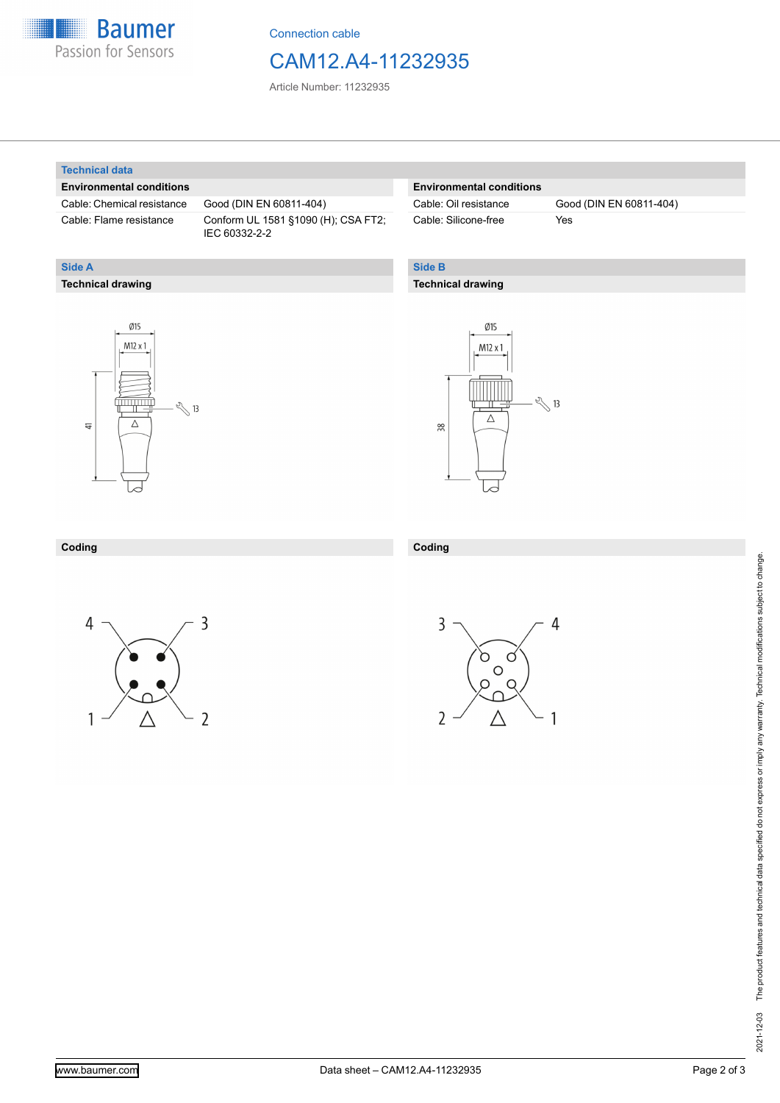

Connection cable

# CAM12.A4-11232935

Article Number: 11232935

#### **Technical data**

**Technical drawing**

**Side A**

### **Environmental conditions**

Cable: Chemical resistance Good (DIN EN 60811-404)

Cable: Flame resistance Conform UL 1581 §1090 (H); CSA FT2; IEC 60332-2-2

### **Environmental conditions**

Cable: Silicone-free Yes

Cable: Oil resistance Good (DIN EN 60811-404)

## **Side B**

### **Technical drawing**





#### **Coding Coding**